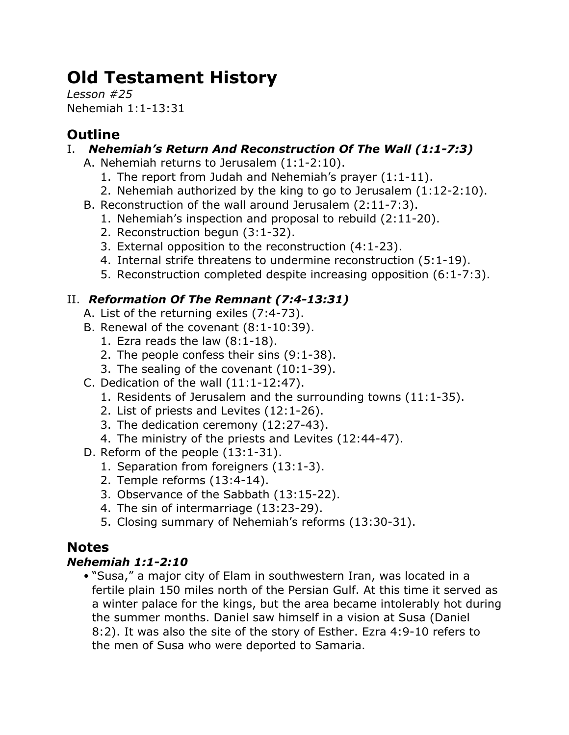# **Old Testament History**

*Lesson #25* Nehemiah 1:1-13:31

# **Outline**

### I. *Nehemiah's Return And Reconstruction Of The Wall (1:1-7:3)*

- A. Nehemiah returns to Jerusalem (1:1-2:10).
	- 1. The report from Judah and Nehemiah's prayer (1:1-11).
	- 2. Nehemiah authorized by the king to go to Jerusalem (1:12-2:10).
- B. Reconstruction of the wall around Jerusalem (2:11-7:3).
	- 1. Nehemiah's inspection and proposal to rebuild (2:11-20).
	- 2. Reconstruction begun (3:1-32).
	- 3. External opposition to the reconstruction (4:1-23).
	- 4. Internal strife threatens to undermine reconstruction (5:1-19).
	- 5. Reconstruction completed despite increasing opposition (6:1-7:3).

## II. *Reformation Of The Remnant (7:4-13:31)*

- A. List of the returning exiles (7:4-73).
- B. Renewal of the covenant (8:1-10:39).
	- 1. Ezra reads the law (8:1-18).
	- 2. The people confess their sins (9:1-38).
	- 3. The sealing of the covenant (10:1-39).
- C. Dedication of the wall (11:1-12:47).
	- 1. Residents of Jerusalem and the surrounding towns (11:1-35).
	- 2. List of priests and Levites (12:1-26).
	- 3. The dedication ceremony (12:27-43).
	- 4. The ministry of the priests and Levites (12:44-47).
- D. Reform of the people (13:1-31).
	- 1. Separation from foreigners (13:1-3).
	- 2. Temple reforms (13:4-14).
	- 3. Observance of the Sabbath (13:15-22).
	- 4. The sin of intermarriage (13:23-29).
	- 5. Closing summary of Nehemiah's reforms (13:30-31).

# **Notes**

### *Nehemiah 1:1-2:10*

• "Susa," a major city of Elam in southwestern Iran, was located in a fertile plain 150 miles north of the Persian Gulf. At this time it served as a winter palace for the kings, but the area became intolerably hot during the summer months. Daniel saw himself in a vision at Susa (Daniel 8:2). It was also the site of the story of Esther. Ezra 4:9-10 refers to the men of Susa who were deported to Samaria.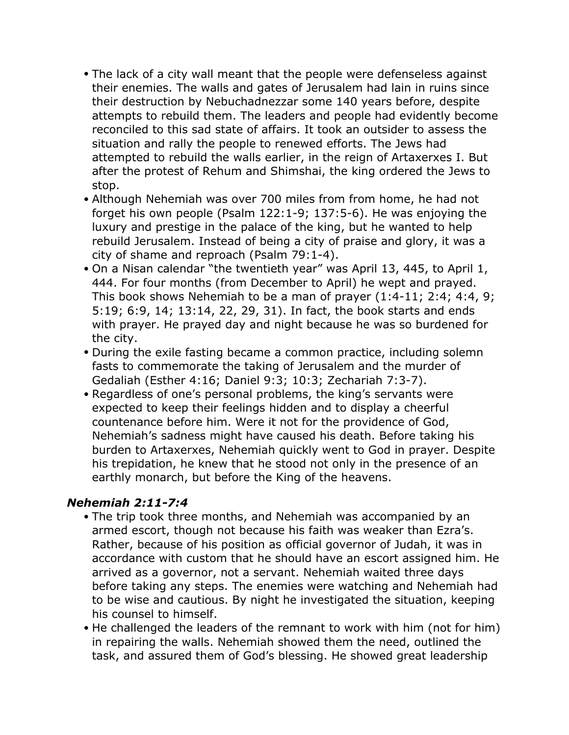- The lack of a city wall meant that the people were defenseless against their enemies. The walls and gates of Jerusalem had lain in ruins since their destruction by Nebuchadnezzar some 140 years before, despite attempts to rebuild them. The leaders and people had evidently become reconciled to this sad state of affairs. It took an outsider to assess the situation and rally the people to renewed efforts. The Jews had attempted to rebuild the walls earlier, in the reign of Artaxerxes I. But after the protest of Rehum and Shimshai, the king ordered the Jews to stop.
- Although Nehemiah was over 700 miles from from home, he had not forget his own people (Psalm 122:1-9; 137:5-6). He was enjoying the luxury and prestige in the palace of the king, but he wanted to help rebuild Jerusalem. Instead of being a city of praise and glory, it was a city of shame and reproach (Psalm 79:1-4).
- On a Nisan calendar "the twentieth year" was April 13, 445, to April 1, 444. For four months (from December to April) he wept and prayed. This book shows Nehemiah to be a man of prayer (1:4-11; 2:4; 4:4, 9; 5:19; 6:9, 14; 13:14, 22, 29, 31). In fact, the book starts and ends with prayer. He prayed day and night because he was so burdened for the city.
- During the exile fasting became a common practice, including solemn fasts to commemorate the taking of Jerusalem and the murder of Gedaliah (Esther 4:16; Daniel 9:3; 10:3; Zechariah 7:3-7).
- Regardless of one's personal problems, the king's servants were expected to keep their feelings hidden and to display a cheerful countenance before him. Were it not for the providence of God, Nehemiah's sadness might have caused his death. Before taking his burden to Artaxerxes, Nehemiah quickly went to God in prayer. Despite his trepidation, he knew that he stood not only in the presence of an earthly monarch, but before the King of the heavens.

#### *Nehemiah 2:11-7:4*

- The trip took three months, and Nehemiah was accompanied by an armed escort, though not because his faith was weaker than Ezra's. Rather, because of his position as official governor of Judah, it was in accordance with custom that he should have an escort assigned him. He arrived as a governor, not a servant. Nehemiah waited three days before taking any steps. The enemies were watching and Nehemiah had to be wise and cautious. By night he investigated the situation, keeping his counsel to himself.
- He challenged the leaders of the remnant to work with him (not for him) in repairing the walls. Nehemiah showed them the need, outlined the task, and assured them of God's blessing. He showed great leadership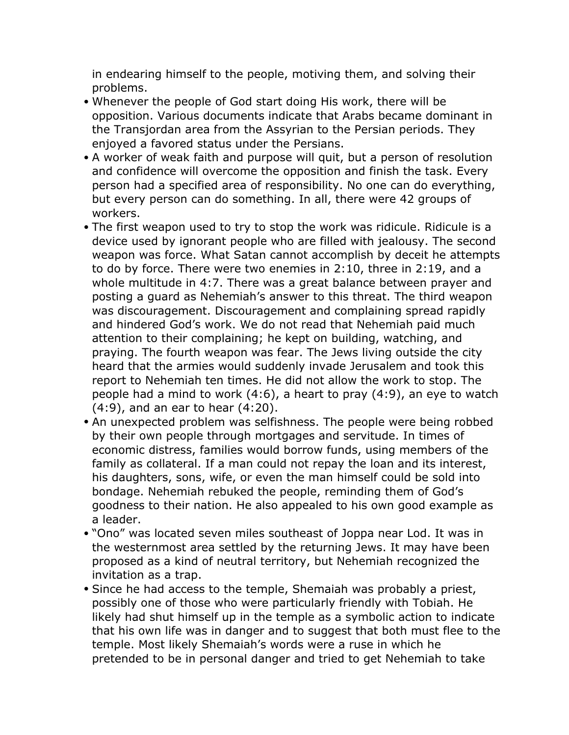in endearing himself to the people, motiving them, and solving their problems.

- Whenever the people of God start doing His work, there will be opposition. Various documents indicate that Arabs became dominant in the Transjordan area from the Assyrian to the Persian periods. They enjoyed a favored status under the Persians.
- A worker of weak faith and purpose will quit, but a person of resolution and confidence will overcome the opposition and finish the task. Every person had a specified area of responsibility. No one can do everything, but every person can do something. In all, there were 42 groups of workers.
- The first weapon used to try to stop the work was ridicule. Ridicule is a device used by ignorant people who are filled with jealousy. The second weapon was force. What Satan cannot accomplish by deceit he attempts to do by force. There were two enemies in 2:10, three in 2:19, and a whole multitude in 4:7. There was a great balance between prayer and posting a guard as Nehemiah's answer to this threat. The third weapon was discouragement. Discouragement and complaining spread rapidly and hindered God's work. We do not read that Nehemiah paid much attention to their complaining; he kept on building, watching, and praying. The fourth weapon was fear. The Jews living outside the city heard that the armies would suddenly invade Jerusalem and took this report to Nehemiah ten times. He did not allow the work to stop. The people had a mind to work (4:6), a heart to pray (4:9), an eye to watch (4:9), and an ear to hear (4:20).
- An unexpected problem was selfishness. The people were being robbed by their own people through mortgages and servitude. In times of economic distress, families would borrow funds, using members of the family as collateral. If a man could not repay the loan and its interest, his daughters, sons, wife, or even the man himself could be sold into bondage. Nehemiah rebuked the people, reminding them of God's goodness to their nation. He also appealed to his own good example as a leader.
- "Ono" was located seven miles southeast of Joppa near Lod. It was in the westernmost area settled by the returning Jews. It may have been proposed as a kind of neutral territory, but Nehemiah recognized the invitation as a trap.
- Since he had access to the temple, Shemaiah was probably a priest, possibly one of those who were particularly friendly with Tobiah. He likely had shut himself up in the temple as a symbolic action to indicate that his own life was in danger and to suggest that both must flee to the temple. Most likely Shemaiah's words were a ruse in which he pretended to be in personal danger and tried to get Nehemiah to take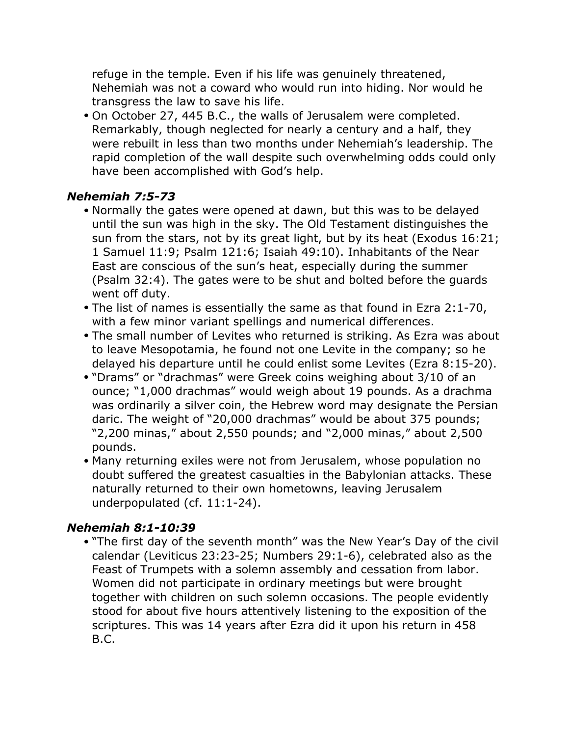refuge in the temple. Even if his life was genuinely threatened, Nehemiah was not a coward who would run into hiding. Nor would he transgress the law to save his life.

• On October 27, 445 B.C., the walls of Jerusalem were completed. Remarkably, though neglected for nearly a century and a half, they were rebuilt in less than two months under Nehemiah's leadership. The rapid completion of the wall despite such overwhelming odds could only have been accomplished with God's help.

#### *Nehemiah 7:5-73*

- Normally the gates were opened at dawn, but this was to be delayed until the sun was high in the sky. The Old Testament distinguishes the sun from the stars, not by its great light, but by its heat (Exodus 16:21; 1 Samuel 11:9; Psalm 121:6; Isaiah 49:10). Inhabitants of the Near East are conscious of the sun's heat, especially during the summer (Psalm 32:4). The gates were to be shut and bolted before the guards went off duty.
- The list of names is essentially the same as that found in Ezra 2:1-70, with a few minor variant spellings and numerical differences.
- The small number of Levites who returned is striking. As Ezra was about to leave Mesopotamia, he found not one Levite in the company; so he delayed his departure until he could enlist some Levites (Ezra 8:15-20).
- "Drams" or "drachmas" were Greek coins weighing about 3/10 of an ounce; "1,000 drachmas" would weigh about 19 pounds. As a drachma was ordinarily a silver coin, the Hebrew word may designate the Persian daric. The weight of "20,000 drachmas" would be about 375 pounds; "2,200 minas," about 2,550 pounds; and "2,000 minas," about 2,500 pounds.
- Many returning exiles were not from Jerusalem, whose population no doubt suffered the greatest casualties in the Babylonian attacks. These naturally returned to their own hometowns, leaving Jerusalem underpopulated (cf. 11:1-24).

#### *Nehemiah 8:1-10:39*

• "The first day of the seventh month" was the New Year's Day of the civil calendar (Leviticus 23:23-25; Numbers 29:1-6), celebrated also as the Feast of Trumpets with a solemn assembly and cessation from labor. Women did not participate in ordinary meetings but were brought together with children on such solemn occasions. The people evidently stood for about five hours attentively listening to the exposition of the scriptures. This was 14 years after Ezra did it upon his return in 458 B.C.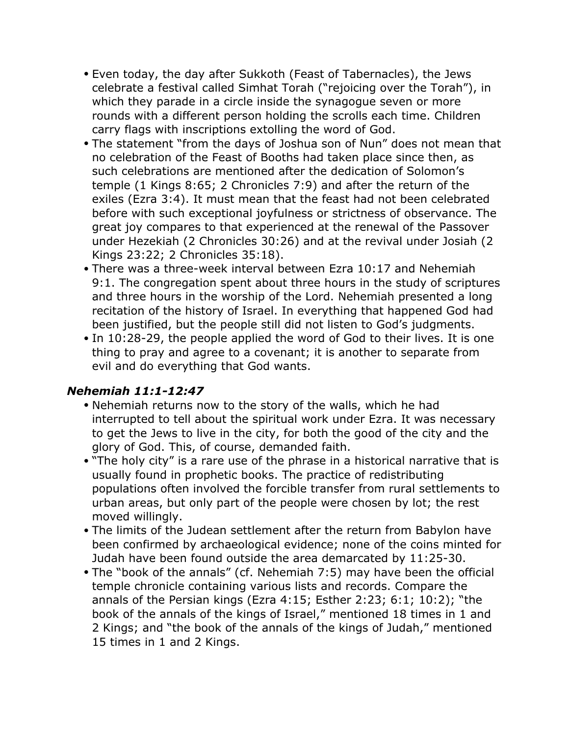- Even today, the day after Sukkoth (Feast of Tabernacles), the Jews celebrate a festival called Simhat Torah ("rejoicing over the Torah"), in which they parade in a circle inside the synagogue seven or more rounds with a different person holding the scrolls each time. Children carry flags with inscriptions extolling the word of God.
- The statement "from the days of Joshua son of Nun" does not mean that no celebration of the Feast of Booths had taken place since then, as such celebrations are mentioned after the dedication of Solomon's temple (1 Kings 8:65; 2 Chronicles 7:9) and after the return of the exiles (Ezra 3:4). It must mean that the feast had not been celebrated before with such exceptional joyfulness or strictness of observance. The great joy compares to that experienced at the renewal of the Passover under Hezekiah (2 Chronicles 30:26) and at the revival under Josiah (2 Kings 23:22; 2 Chronicles 35:18).
- There was a three-week interval between Ezra 10:17 and Nehemiah 9:1. The congregation spent about three hours in the study of scriptures and three hours in the worship of the Lord. Nehemiah presented a long recitation of the history of Israel. In everything that happened God had been justified, but the people still did not listen to God's judgments.
- In 10:28-29, the people applied the word of God to their lives. It is one thing to pray and agree to a covenant; it is another to separate from evil and do everything that God wants.

#### *Nehemiah 11:1-12:47*

- Nehemiah returns now to the story of the walls, which he had interrupted to tell about the spiritual work under Ezra. It was necessary to get the Jews to live in the city, for both the good of the city and the glory of God. This, of course, demanded faith.
- "The holy city" is a rare use of the phrase in a historical narrative that is usually found in prophetic books. The practice of redistributing populations often involved the forcible transfer from rural settlements to urban areas, but only part of the people were chosen by lot; the rest moved willingly.
- The limits of the Judean settlement after the return from Babylon have been confirmed by archaeological evidence; none of the coins minted for Judah have been found outside the area demarcated by 11:25-30.
- The "book of the annals" (cf. Nehemiah 7:5) may have been the official temple chronicle containing various lists and records. Compare the annals of the Persian kings (Ezra 4:15; Esther 2:23; 6:1; 10:2); "the book of the annals of the kings of Israel," mentioned 18 times in 1 and 2 Kings; and "the book of the annals of the kings of Judah," mentioned 15 times in 1 and 2 Kings.